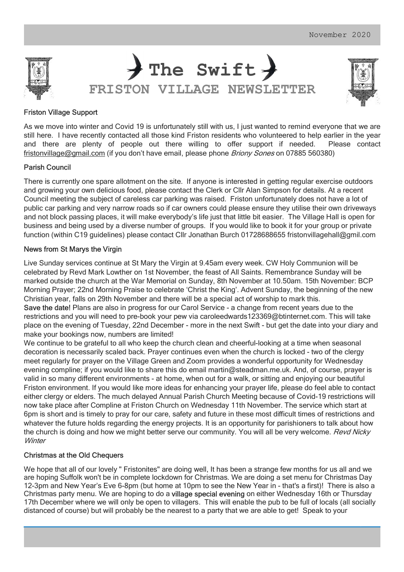





# Friston Village Support

As we move into winter and Covid 19 is unfortunately still with us, I just wanted to remind everyone that we are still here. I have recently contacted all those kind Friston residents who volunteered to help earlier in the year and there are plenty of people out there willing to offer support if needed. Please contact fristonvillage@gmail.com (if you don't have email, please phone *Briony Sones* on 07885 560380)

### Parish Council

There is currently one spare allotment on the site. If anyone is interested in getting regular exercise outdoors and growing your own delicious food, please contact the Clerk or Cllr Alan Simpson for details. At a recent Council meeting the subject of careless car parking was raised. Friston unfortunately does not have a lot of public car parking and very narrow roads so if car owners could please ensure they utilise their own driveways and not block passing places, it will make everybody's life just that little bit easier. The Village Hall is open for business and being used by a diverse number of groups. If you would like to book it for your group or private function (within C19 guidelines) please contact Cllr Jonathan Burch 01728688655 fristonvillagehall@gmil.com

### News from St Marys the Virgin

Live Sunday services continue at St Mary the Virgin at 9.45am every week. CW Holy Communion will be celebrated by Revd Mark Lowther on 1st November, the feast of All Saints. Remembrance Sunday will be marked outside the church at the War Memorial on Sunday, 8th November at 10.50am. 15th November: BCP Morning Prayer; 22nd Morning Praise to celebrate 'Christ the King'. Advent Sunday, the beginning of the new Christian year, falls on 29th November and there will be a special act of worship to mark this.

Save the date! Plans are also in progress for our Carol Service - a change from recent years due to the restrictions and you will need to pre-book your pew via caroleedwards123369@btinternet.com. This will take place on the evening of Tuesday, 22nd December - more in the next Swift - but get the date into your diary and make your bookings now, numbers are limited!

We continue to be grateful to all who keep the church clean and cheerful-looking at a time when seasonal decoration is necessarily scaled back. Prayer continues even when the church is locked - two of the clergy meet regularly for prayer on the Village Green and Zoom provides a wonderful opportunity for Wednesday evening compline; if you would like to share this do email martin@steadman.me.uk. And, of course, prayer is valid in so many different environments - at home, when out for a walk, or sitting and enjoying our beautiful Friston environment. If you would like more ideas for enhancing your prayer life, please do feel able to contact either clergy or elders. The much delayed Annual Parish Church Meeting because of Covid-19 restrictions will now take place after Compline at Friston Church on Wednesday 11th November. The service which start at 6pm is short and is timely to pray for our care, safety and future in these most difficult times of restrictions and whatever the future holds regarding the energy projects. It is an opportunity for parishioners to talk about how the church is doing and how we might better serve our community. You will all be very welcome. Revd Nicky **Winter** 

# Christmas at the Old Chequers

We hope that all of our lovely " Fristonites" are doing well, It has been a strange few months for us all and we are hoping Suffolk won't be in complete lockdown for Christmas. We are doing a set menu for Christmas Day 12-3pm and New Year's Eve 6-8pm (but home at 10pm to see the New Year in - that's a first)! There is also a Christmas party menu. We are hoping to do a village special evening on either Wednesday 16th or Thursday 17th December where we will only be open to villagers. This will enable the pub to be full of locals (all socially distanced of course) but will probably be the nearest to a party that we are able to get! Speak to your